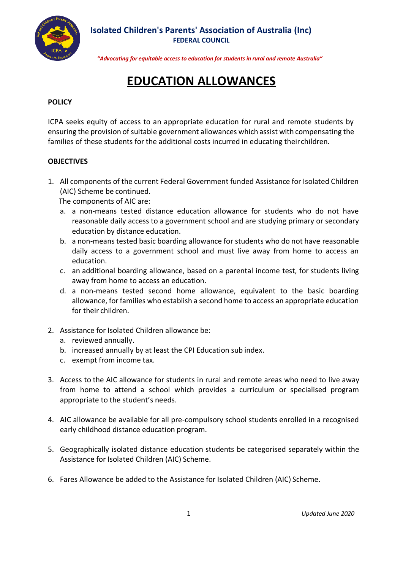

## **Isolated Children's Parents' Association of Australia (Inc) FEDERAL COUNCIL**

*"Advocating for equitable access to education for students in rural and remote Australia"*

# **EDUCATION ALLOWANCES**

### **POLICY**

ICPA seeks equity of access to an appropriate education for rural and remote students by ensuring the provision of suitable government allowances which assist with compensating the families of these students for the additional costs incurred in educating theirchildren.

#### **OBJECTIVES**

1. All components of the current Federal Government funded Assistance for Isolated Children (AIC) Scheme be continued.

The components of AIC are:

- a. a non-means tested distance education allowance for students who do not have reasonable daily access to a government school and are studying primary or secondary education by distance education.
- b. a non-means tested basic boarding allowance for students who do not have reasonable daily access to a government school and must live away from home to access an education.
- c. an additional boarding allowance, based on a parental income test, for students living away from home to access an education.
- d. a non-means tested second home allowance, equivalent to the basic boarding allowance, for families who establish a second home to access an appropriate education for their children.
- 2. Assistance for Isolated Children allowance be:
	- a. reviewed annually.
	- b. increased annually by at least the CPI Education sub index.
	- c. exempt from income tax.
- 3. Access to the AIC allowance for students in rural and remote areas who need to live away from home to attend a school which provides a curriculum or specialised program appropriate to the student's needs.
- 4. AIC allowance be available for all pre-compulsory school students enrolled in a recognised early childhood distance education program.
- 5. Geographically isolated distance education students be categorised separately within the Assistance for Isolated Children (AIC) Scheme.
- 6. Fares Allowance be added to the Assistance for Isolated Children (AIC) Scheme.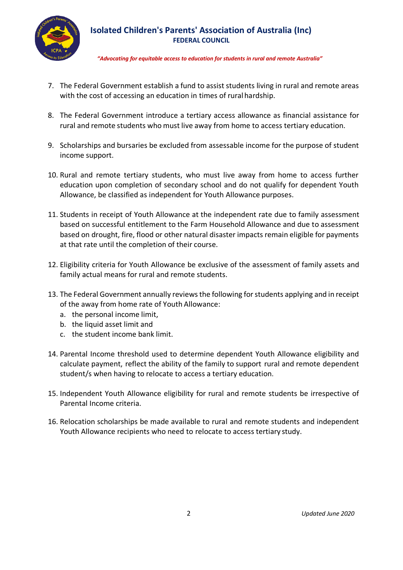

## **Isolated Children's Parents' Association of Australia (Inc) FEDERAL COUNCIL**

*"Advocating for equitable access to education for students in rural and remote Australia"*

- 7. The Federal Government establish a fund to assist students living in rural and remote areas with the cost of accessing an education in times of rural hardship.
- 8. The Federal Government introduce a tertiary access allowance as financial assistance for rural and remote students who must live away from home to access tertiary education.
- 9. Scholarships and bursaries be excluded from assessable income for the purpose of student income support.
- 10. Rural and remote tertiary students, who must live away from home to access further education upon completion of secondary school and do not qualify for dependent Youth Allowance, be classified as independent for Youth Allowance purposes.
- 11. Students in receipt of Youth Allowance at the independent rate due to family assessment based on successful entitlement to the Farm Household Allowance and due to assessment based on drought, fire, flood or other natural disaster impacts remain eligible for payments at that rate until the completion of their course.
- 12. Eligibility criteria for Youth Allowance be exclusive of the assessment of family assets and family actual means for rural and remote students.
- 13. The Federal Government annually reviews the following for students applying and in receipt of the away from home rate of Youth Allowance:
	- a. the personal income limit,
	- b. the liquid asset limit and
	- c. the student income bank limit.
- 14. Parental Income threshold used to determine dependent Youth Allowance eligibility and calculate payment, reflect the ability of the family to support rural and remote dependent student/s when having to relocate to access a tertiary education.
- 15. Independent Youth Allowance eligibility for rural and remote students be irrespective of Parental Income criteria.
- 16. Relocation scholarships be made available to rural and remote students and independent Youth Allowance recipients who need to relocate to access tertiary study.